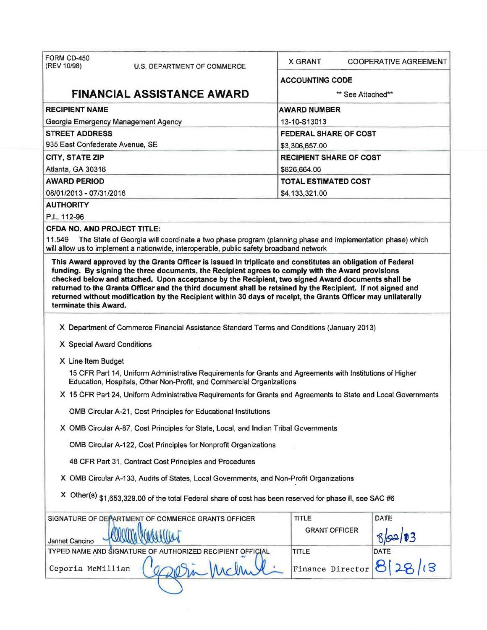| FORM CD-450<br>(REV 10/98)                                                                 | <b>U.S. DEPARTMENT OF COMMERCE</b>                                                                                                                                                                                                                                                                                                                                                                                                                                                                                                                   | <b>X GRANT</b>                 | <b>COOPERATIVE AGREEMENT</b> |  |  |  |
|--------------------------------------------------------------------------------------------|------------------------------------------------------------------------------------------------------------------------------------------------------------------------------------------------------------------------------------------------------------------------------------------------------------------------------------------------------------------------------------------------------------------------------------------------------------------------------------------------------------------------------------------------------|--------------------------------|------------------------------|--|--|--|
|                                                                                            |                                                                                                                                                                                                                                                                                                                                                                                                                                                                                                                                                      | <b>ACCOUNTING CODE</b>         |                              |  |  |  |
|                                                                                            | <b>FINANCIAL ASSISTANCE AWARD</b>                                                                                                                                                                                                                                                                                                                                                                                                                                                                                                                    |                                | ** See Attached**            |  |  |  |
| <b>RECIPIENT NAME</b>                                                                      |                                                                                                                                                                                                                                                                                                                                                                                                                                                                                                                                                      | <b>AWARD NUMBER</b>            |                              |  |  |  |
|                                                                                            | Georgia Emergency Management Agency                                                                                                                                                                                                                                                                                                                                                                                                                                                                                                                  | 13-10-S13013                   |                              |  |  |  |
| <b>STREET ADDRESS</b>                                                                      |                                                                                                                                                                                                                                                                                                                                                                                                                                                                                                                                                      | <b>FEDERAL SHARE OF COST</b>   |                              |  |  |  |
| 935 East Confederate Avenue, SE                                                            |                                                                                                                                                                                                                                                                                                                                                                                                                                                                                                                                                      | \$3,306,657.00                 |                              |  |  |  |
| CITY, STATE ZIP                                                                            |                                                                                                                                                                                                                                                                                                                                                                                                                                                                                                                                                      | <b>RECIPIENT SHARE OF COST</b> |                              |  |  |  |
| Atlanta, GA 30316                                                                          |                                                                                                                                                                                                                                                                                                                                                                                                                                                                                                                                                      | \$826,664.00                   |                              |  |  |  |
| <b>AWARD PERIOD</b>                                                                        |                                                                                                                                                                                                                                                                                                                                                                                                                                                                                                                                                      | <b>TOTAL ESTIMATED COST</b>    |                              |  |  |  |
| 08/01/2013 - 07/31/2016                                                                    |                                                                                                                                                                                                                                                                                                                                                                                                                                                                                                                                                      | \$4,133,321.00                 |                              |  |  |  |
| <b>AUTHORITY</b>                                                                           |                                                                                                                                                                                                                                                                                                                                                                                                                                                                                                                                                      |                                |                              |  |  |  |
| P.L. 112-96                                                                                |                                                                                                                                                                                                                                                                                                                                                                                                                                                                                                                                                      |                                |                              |  |  |  |
|                                                                                            | <b>CFDA NO. AND PROJECT TITLE:</b>                                                                                                                                                                                                                                                                                                                                                                                                                                                                                                                   |                                |                              |  |  |  |
| 11.549                                                                                     | The State of Georgia will coordinate a two phase program (planning phase and implementation phase) which<br>will allow us to implement a nationwide, interoperable, public safety broadband network                                                                                                                                                                                                                                                                                                                                                  |                                |                              |  |  |  |
| terminate this Award.                                                                      | This Award approved by the Grants Officer is issued in triplicate and constitutes an obligation of Federal<br>funding. By signing the three documents, the Recipient agrees to comply with the Award provisions<br>checked below and attached. Upon acceptance by the Recipient, two signed Award documents shall be<br>returned to the Grants Officer and the third document shall be retained by the Recipient. If not signed and<br>returned without modification by the Recipient within 30 days of receipt, the Grants Officer may unilaterally |                                |                              |  |  |  |
|                                                                                            |                                                                                                                                                                                                                                                                                                                                                                                                                                                                                                                                                      |                                |                              |  |  |  |
| X Department of Commerce Financial Assistance Standard Terms and Conditions (January 2013) |                                                                                                                                                                                                                                                                                                                                                                                                                                                                                                                                                      |                                |                              |  |  |  |
|                                                                                            | X Special Award Conditions                                                                                                                                                                                                                                                                                                                                                                                                                                                                                                                           |                                |                              |  |  |  |
| X Line Item Budget                                                                         |                                                                                                                                                                                                                                                                                                                                                                                                                                                                                                                                                      |                                |                              |  |  |  |
|                                                                                            | 15 CFR Part 14, Uniform Administrative Requirements for Grants and Agreements with Institutions of Higher<br>Education, Hospitals, Other Non-Profit, and Commercial Organizations                                                                                                                                                                                                                                                                                                                                                                    |                                |                              |  |  |  |
|                                                                                            | X 15 CFR Part 24, Uniform Administrative Requirements for Grants and Agreements to State and Local Governments                                                                                                                                                                                                                                                                                                                                                                                                                                       |                                |                              |  |  |  |
|                                                                                            | OMB Circular A-21, Cost Principles for Educational Institutions                                                                                                                                                                                                                                                                                                                                                                                                                                                                                      |                                |                              |  |  |  |
| X OMB Circular A-87, Cost Principles for State, Local, and Indian Tribal Governments       |                                                                                                                                                                                                                                                                                                                                                                                                                                                                                                                                                      |                                |                              |  |  |  |
| OMB Circular A-122, Cost Principles for Nonprofit Organizations                            |                                                                                                                                                                                                                                                                                                                                                                                                                                                                                                                                                      |                                |                              |  |  |  |
| 48 CFR Part 31, Contract Cost Principles and Procedures                                    |                                                                                                                                                                                                                                                                                                                                                                                                                                                                                                                                                      |                                |                              |  |  |  |
| X OMB Circular A-133, Audits of States, Local Governments, and Non-Profit Organizations    |                                                                                                                                                                                                                                                                                                                                                                                                                                                                                                                                                      |                                |                              |  |  |  |
|                                                                                            | X Other(s) \$1,653,329.00 of the total Federal share of cost has been reserved for phase II, see SAC #6                                                                                                                                                                                                                                                                                                                                                                                                                                              |                                |                              |  |  |  |
|                                                                                            | SIGNATURE OF DEPARTMENT OF COMMERCE GRANTS OFFICER                                                                                                                                                                                                                                                                                                                                                                                                                                                                                                   | TITLE                          | DATE                         |  |  |  |
| Jannet Cancino                                                                             |                                                                                                                                                                                                                                                                                                                                                                                                                                                                                                                                                      | <b>GRANT OFFICER</b>           |                              |  |  |  |
|                                                                                            | TYPED NAME AND SIGNATURE OF AUTHORIZED RECIPIENT OFFICIAL                                                                                                                                                                                                                                                                                                                                                                                                                                                                                            | TITLE                          | DATE                         |  |  |  |
| Ceporia McMillian                                                                          |                                                                                                                                                                                                                                                                                                                                                                                                                                                                                                                                                      | Finance Director               | 8128                         |  |  |  |
|                                                                                            |                                                                                                                                                                                                                                                                                                                                                                                                                                                                                                                                                      |                                |                              |  |  |  |